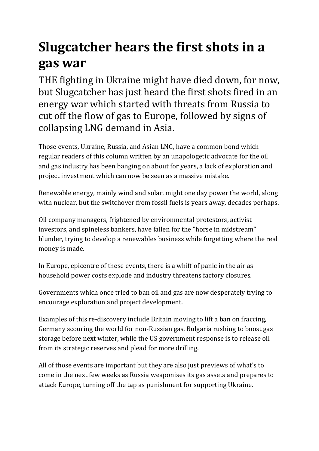## **Slugcatcher hears the first shots in a gas war**

THE fighting in Ukraine might have died down, for now, but Slugcatcher has just heard the first shots fired in an energy war which started with threats from Russia to cut off the flow of gas to Europe, followed by signs of collapsing LNG demand in Asia.

Those events, Ukraine, Russia, and Asian LNG, have a common bond which regular readers of this column written by an unapologetic advocate for the oil and gas industry has been banging on about for years, a lack of exploration and project investment which can now be seen as a massive mistake.

Renewable energy, mainly wind and solar, might one day power the world, along with nuclear, but the switchover from fossil fuels is years away, decades perhaps.

Oil company managers, frightened by environmental protestors, activist investors, and spineless bankers, have fallen for the "horse in midstream" blunder, trying to develop a renewables business while forgetting where the real money is made.

In Europe, epicentre of these events, there is a whiff of panic in the air as household power costs explode and industry threatens factory closures.

Governments which once tried to ban oil and gas are now desperately trying to encourage exploration and project development.

Examples of this re-discovery include Britain moving to lift a ban on fraccing, Germany scouring the world for non-Russian gas, Bulgaria rushing to boost gas storage before next winter, while the US government response is to release oil from its strategic reserves and plead for more drilling.

All of those events are important but they are also just previews of what's to come in the next few weeks as Russia weaponises its gas assets and prepares to attack Europe, turning off the tap as punishment for supporting Ukraine.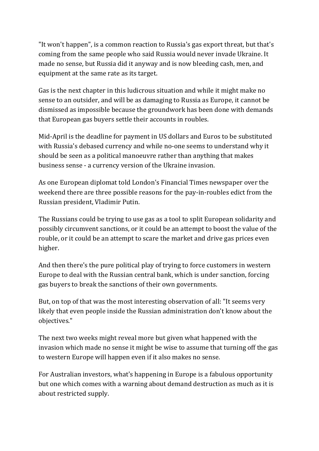"It won't happen", is a common reaction to Russia's gas export threat, but that's coming from the same people who said Russia would never invade Ukraine. It made no sense, but Russia did it anyway and is now bleeding cash, men, and equipment at the same rate as its target.

Gas is the next chapter in this ludicrous situation and while it might make no sense to an outsider, and will be as damaging to Russia as Europe, it cannot be dismissed as impossible because the groundwork has been done with demands that European gas buyers settle their accounts in roubles.

Mid-April is the deadline for payment in US dollars and Euros to be substituted with Russia's debased currency and while no-one seems to understand why it should be seen as a political manoeuvre rather than anything that makes business sense - a currency version of the Ukraine invasion.

As one European diplomat told London's Financial Times newspaper over the weekend there are three possible reasons for the pay-in-roubles edict from the Russian president, Vladimir Putin.

The Russians could be trying to use gas as a tool to split European solidarity and possibly circumvent sanctions, or it could be an attempt to boost the value of the rouble, or it could be an attempt to scare the market and drive gas prices even higher.

And then there's the pure political play of trying to force customers in western Europe to deal with the Russian central bank, which is under sanction, forcing gas buyers to break the sanctions of their own governments.

But, on top of that was the most interesting observation of all: "It seems very likely that even people inside the Russian administration don't know about the objectives."

The next two weeks might reveal more but given what happened with the invasion which made no sense it might be wise to assume that turning off the gas to western Europe will happen even if it also makes no sense.

For Australian investors, what's happening in Europe is a fabulous opportunity but one which comes with a warning about demand destruction as much as it is about restricted supply.